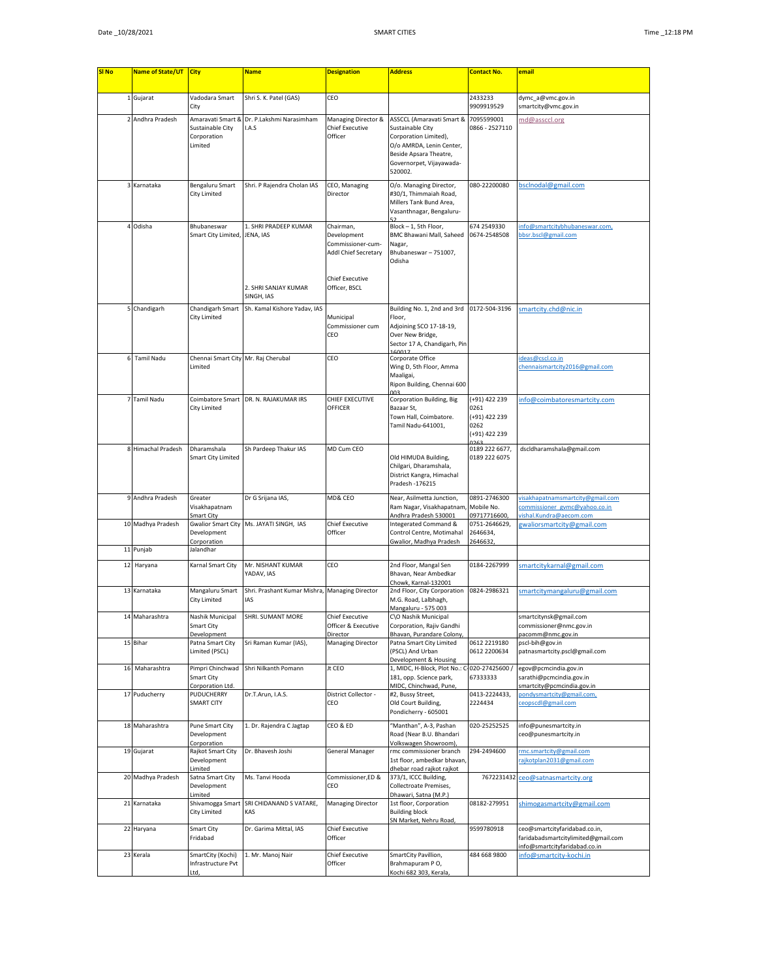| <b>SI No</b> | Name of State/UT   | <b>City</b>                                                     | <b>Name</b>                                                              | <b>Designation</b>                                                                                               | <b>Address</b>                                                                                                                                                                 | <b>Contact No.</b>                                                      | email                                                                                                |
|--------------|--------------------|-----------------------------------------------------------------|--------------------------------------------------------------------------|------------------------------------------------------------------------------------------------------------------|--------------------------------------------------------------------------------------------------------------------------------------------------------------------------------|-------------------------------------------------------------------------|------------------------------------------------------------------------------------------------------|
|              |                    |                                                                 |                                                                          |                                                                                                                  |                                                                                                                                                                                |                                                                         |                                                                                                      |
|              | 1 Gujarat          | Vadodara Smart                                                  | Shri S. K. Patel (GAS)                                                   | CEO                                                                                                              |                                                                                                                                                                                | 2433233                                                                 | dymc_a@vmc.gov.in                                                                                    |
|              |                    | City                                                            |                                                                          |                                                                                                                  |                                                                                                                                                                                | 9909919529                                                              | smartcity@vmc.gov.in                                                                                 |
|              | 2 Andhra Pradesh   | Amaravati Smart &<br>Sustainable City<br>Corporation<br>Limited | Dr. P.Lakshmi Narasimham<br>I.A.S                                        | Managing Director &<br><b>Chief Executive</b><br>Officer                                                         | ASSCCL (Amaravati Smart & 7095599001<br>Sustainable City<br>Corporation Limited),<br>O/o AMRDA, Lenin Center,<br>Beside Apsara Theatre,<br>Governorpet, Vijayawada-<br>520002. | 0866 - 2527110                                                          | md@assccl.org                                                                                        |
|              | 3 Karnataka        | Bengaluru Smart<br><b>City Limited</b>                          | Shri. P Rajendra Cholan IAS                                              | CEO, Managing<br>Director                                                                                        | O/o. Managing Director,<br>#30/1, Thimmaiah Road,<br>Millers Tank Bund Area,<br>Vasanthnagar, Bengaluru-                                                                       | 080-22200080                                                            | bsclnodal@gmail.com                                                                                  |
|              | 4 Odisha           | Bhubaneswar<br>Smart City Limited,                              | 1. SHRI PRADEEP KUMAR<br>JENA, IAS<br>2. SHRI SANJAY KUMAR<br>SINGH, IAS | Chairman,<br>Development<br>Commissioner-cum-<br>Addl Chief Secretary<br><b>Chief Executive</b><br>Officer, BSCL | Block - 1, 5th Floor,<br>BMC Bhawani Mall, Saheed<br>Nagar,<br>Bhubaneswar-751007,<br>Odisha                                                                                   | 674 2549330<br>0674-2548508                                             | info@smartcitybhubaneswar.com,<br>bbsr.bscl@gmail.com                                                |
|              | 5 Chandigarh       | Chandigarh Smart                                                | Sh. Kamal Kishore Yadav, IAS                                             |                                                                                                                  | Building No. 1, 2nd and 3rd 0172-504-3196                                                                                                                                      |                                                                         | smartcity.chd@nic.in                                                                                 |
|              |                    | City Limited                                                    |                                                                          | Municipal<br>Commissioner cum<br>CEO                                                                             | Floor,<br>Adjoining SCO 17-18-19,<br>Over New Bridge,<br>Sector 17 A, Chandigarh, Pin                                                                                          |                                                                         |                                                                                                      |
|              | 6 Tamil Nadu       | Chennai Smart City Mr. Raj Cherubal<br>Limited                  |                                                                          | CEO                                                                                                              | Corporate Office<br>Wing D, 5th Floor, Amma<br>Maaligai,<br>Ripon Building, Chennai 600                                                                                        |                                                                         | deas@cscl.co.in<br>chennaismartcity2016@gmail.com                                                    |
|              | 7 Tamil Nadu       | Coimbatore Smart<br><b>City Limited</b>                         | DR. N. RAJAKUMAR IRS                                                     | CHIEF EXECUTIVE<br><b>OFFICER</b>                                                                                | Corporation Building, Big<br>Bazaar St,<br>Town Hall, Coimbatore.<br>Tamil Nadu-641001,                                                                                        | (+91) 422 239<br>0261<br>(+91) 422 239<br>0262<br>(+91) 422 239<br>ገንፎር | nfo@coimbatoresmartcity.com                                                                          |
|              | 8 Himachal Pradesh | Dharamshala<br>Smart City Limited                               | Sh Pardeep Thakur IAS                                                    | MD Cum CEO                                                                                                       | Old HIMUDA Building,<br>Chilgari, Dharamshala,<br>District Kangra, Himachal<br>Pradesh - 176215                                                                                | 0189 222 6677,<br>0189 222 6075                                         | dscldharamshala@gmail.com                                                                            |
|              | 9 Andhra Pradesh   | Greater<br>Visakhapatnam<br>Smart City                          | Dr G Srijana IAS,                                                        | MD& CEO                                                                                                          | Near, Asilmetta Junction,<br>Ram Nagar, Visakhapatnam<br>Andhra Pradesh 530001                                                                                                 | 0891-2746300<br>Mobile No.<br>09717716600                               | visakhapatnamsmartcity@gmail.com<br>commissioner_gvmc@yahoo.co.in<br>vishal.Kundra@aecom.com         |
|              | 10 Madhya Pradesh  | <b>Gwalior Smart City</b><br>Development<br>Corporation         | Ms. JAYATI SINGH, IAS                                                    | <b>Chief Executive</b><br>Officer                                                                                | Integerated Command &<br>Control Centre, Motimahal<br>Gwalior, Madhya Pradesh                                                                                                  | 0751-2646629,<br>2646634,<br>2646632                                    | gwaliorsmartcity@gmail.com                                                                           |
|              | 11 Punjab          | Jalandhar                                                       |                                                                          |                                                                                                                  |                                                                                                                                                                                |                                                                         |                                                                                                      |
|              | 12 Haryana         | Karnal Smart City                                               | Mr. NISHANT KUMAR<br>YADAV, IAS                                          | CEO                                                                                                              | 2nd Floor, Mangal Sen<br>Bhavan, Near Ambedkar<br>Chowk. Karnal-132001                                                                                                         | 0184-2267999                                                            | smartcitykarnal@gmail.com                                                                            |
|              | 13 Karnataka       | Mangaluru Smart<br>City Limited                                 | Shri. Prashant Kumar Mishra, Managing Director<br>IAS                    |                                                                                                                  | 2nd Floor, City Corporation<br>M.G. Road, Lalbhagh,<br>Mangaluru - 575 003                                                                                                     | 0824-2986321                                                            | smartcitymangaluru@gmail.com                                                                         |
|              | 14 Maharashtra     | Nashik Municipal<br>Smart City<br>Development                   | SHRI. SUMANT MORE                                                        | <b>Chief Executive</b><br>Officer & Executive<br>Director                                                        | C\O Nashik Municipal<br>Corporation, Rajiv Gandhi<br>Bhavan, Purandare Colony,                                                                                                 |                                                                         | smartcitynsk@gmail.com<br>commissioner@nmc.gov.in<br>pacomm@nmc.gov.in                               |
|              | 15 Bihar           | Patna Smart City<br>Limited (PSCL)                              | Sri Raman Kumar (IAS),                                                   | Managing Director                                                                                                | Patna Smart City Limited<br>(PSCL) And Urban<br>Development & Housing                                                                                                          | 0612 2219180<br>0612 2200634                                            | pscl-bih@gov.in<br>patnasmartcity.pscl@gmail.com                                                     |
|              | 16 Maharashtra     | Pimpri Chinchwad<br>Smart City<br>Corporation Ltd.              | Shri Nilkanth Pomann                                                     | Jt CEO                                                                                                           | 1, MIDC, H-Block, Plot No.:<br>181, opp. Science park,<br>MIDC, Chinchwad, Pune,                                                                                               | $-020 - 27425600/$<br>67333333                                          | egov@pcmcindia.gov.in<br>sarathi@pcmcindia.gov.in<br>smartcity@pcmcindia.gov.in                      |
|              | 17 Puducherry      | PUDUCHERRY<br><b>SMART CITY</b>                                 | Dr.T.Arun, I.A.S.                                                        | District Collector -<br>CEO                                                                                      | #2, Bussy Street,<br>Old Court Building,<br>Pondicherry - 605001                                                                                                               | 0413-2224433,<br>2224434                                                | oondysmartcity@gmail.com,<br>ceopscdl@gmail.com                                                      |
|              | 18 Maharashtra     | Pune Smart City<br>Development<br>Corporation                   | 1. Dr. Rajendra C Jagtap                                                 | CEO & ED                                                                                                         | "Manthan", A-3, Pashan<br>Road (Near B.U. Bhandari<br>Volkswagen Showroom),                                                                                                    | 020-25252525                                                            | info@punesmartcity.in<br>ceo@punesmartcity.in                                                        |
|              | 19 Gujarat         | Rajkot Smart City<br>Development<br>Limited                     | Dr. Bhavesh Joshi                                                        | General Manager                                                                                                  | rmc commissioner branch<br>1st floor, ambedkar bhavan,<br>dhebar road rajkot rajkot                                                                                            | 294-2494600                                                             | mc.smartcity@gmail.com<br>rajkotplan2031@gmail.com                                                   |
|              | 20 Madhya Pradesh  | Satna Smart City<br>Development<br>Limited                      | Ms. Tanvi Hooda                                                          | Commissioner, ED &<br>CEO                                                                                        | 373/1, ICCC Building,<br>Collectroate Premises,<br>Dhawari, Satna (M.P.)                                                                                                       | 7672231432                                                              | ceo@satnasmartcity.org                                                                               |
|              | 21 Karnataka       | Shivamogga Smart<br>City Limited                                | SRI CHIDANAND S VATARE,<br>KAS                                           | <b>Managing Director</b>                                                                                         | 1st floor, Corporation<br><b>Building block</b><br>SN Market, Nehru Road,                                                                                                      | 08182-279951                                                            | shimogasmartcity@gmail.com                                                                           |
|              | 22 Haryana         | Smart City<br>Fridabad                                          | Dr. Garima Mittal, IAS                                                   | Chief Executive<br>Officer                                                                                       |                                                                                                                                                                                | 9599780918                                                              | ceo@smartcityfaridabad.co.in,<br>faridabadsmartcitylimited@gmail.com<br>nfo@smartcityfaridabad.co.in |
|              | 23 Kerala          | SmartCity (Kochi)<br>Infrastructure Pvt                         | 1. Mr. Manoj Nair                                                        | Chief Executive<br>Officer                                                                                       | SmartCity Pavillion,<br>Brahmapuram PO,                                                                                                                                        | 484 668 9800                                                            | nfo@smartcity-kochi.in                                                                               |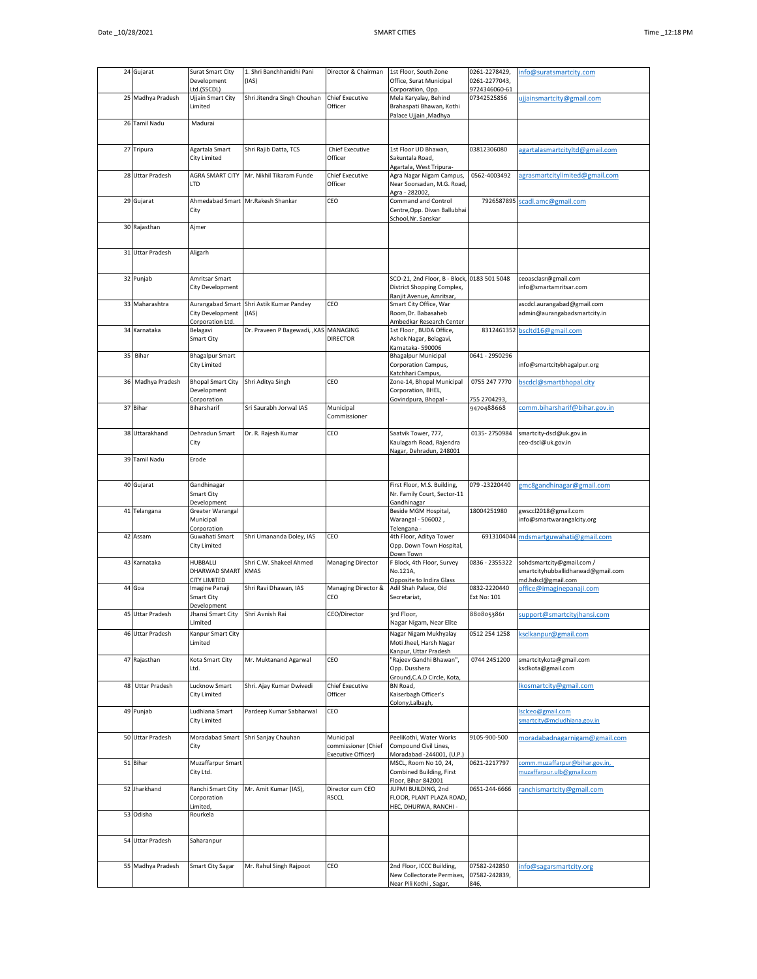|    | 24 Gujarat           | Surat Smart City<br>Development<br>Ltd.(SSCDL)           | 1. Shri Banchhanidhi Pani<br>(IAS)     | Director & Chairman                                           | 1st Floor, South Zone<br>Office, Surat Municipal<br>Corporation, Opp                    | 0261-2278429,<br>0261-2277043,<br>9724346060-61 | info@suratsmartcity.com                                                               |
|----|----------------------|----------------------------------------------------------|----------------------------------------|---------------------------------------------------------------|-----------------------------------------------------------------------------------------|-------------------------------------------------|---------------------------------------------------------------------------------------|
|    | 25 Madhya Pradesh    | Ujjain Smart City<br>Limited                             | Shri Jitendra Singh Chouhan            | <b>Chief Executive</b><br>Officer                             | Mela Karyalay, Behind<br>Brahaspati Bhawan, Kothi<br>Palace Ujjain , Madhya             | 07342525856                                     | ujjainsmartcity@gmail.com                                                             |
|    | 26 Tamil Nadu        | Madurai                                                  |                                        |                                                               |                                                                                         |                                                 |                                                                                       |
|    | 27 Tripura           | Agartala Smart<br>City Limited                           | Shri Rajib Datta, TCS                  | <b>Chief Executive</b><br>Officer                             | 1st Floor UD Bhawan,<br>Sakuntala Road,<br>Agartala, West Tripura-                      | 03812306080                                     | agartalasmartcityltd@gmail.com                                                        |
|    | 28 Uttar Pradesh     | AGRA SMART CITY<br>LTD                                   | Mr. Nikhil Tikaram Funde               | Chief Executive<br>Officer                                    | Agra Nagar Nigam Campus,<br>Near Soorsadan, M.G. Road,<br>Agra - 282002.                | 0562-4003492                                    | agrasmartcitylimited@gmail.com                                                        |
|    | 29 Gujarat           | Ahmedabad Smart<br>City                                  | Mr.Rakesh Shankar                      | CEO                                                           | Command and Control<br>Centre, Opp. Divan Ballubhai<br>School, Nr. Sanskar              |                                                 | 7926587895 scadl.amc@gmail.com                                                        |
|    | 30 Rajasthan         | Ajmer                                                    |                                        |                                                               |                                                                                         |                                                 |                                                                                       |
|    | 31 Uttar Pradesh     | Aligarh                                                  |                                        |                                                               |                                                                                         |                                                 |                                                                                       |
|    | 32 Punjab            | Amritsar Smart<br>City Development                       |                                        |                                                               | SCO-21, 2nd Floor, B - Block,<br>District Shopping Complex,<br>Ranjit Avenue, Amritsar, | 0183 501 5048                                   | ceoasclasr@gmail.com<br>info@smartamritsar.com                                        |
|    | 33 Maharashtra       | Aurangabad Smart<br>City Development<br>Corporation Ltd. | Shri Astik Kumar Pandey<br>(IAS)       | CEO                                                           | Smart City Office, War<br>Room, Dr. Babasaheb<br>Ambedkar Research Center               |                                                 | ascdcl.aurangabad@gmail.com<br>admin@aurangabadsmartcity.in                           |
|    | 34 Karnataka         | Belagavi<br>Smart City                                   | Dr. Praveen P Bagewadi, , KAS MANAGING | <b>DIRECTOR</b>                                               | 1st Floor, BUDA Office,<br>Ashok Nagar, Belagavi,<br>Karnataka-590006                   |                                                 | 8312461352 bscltd16@gmail.com                                                         |
|    | 35 Bihar             | <b>Bhagalpur Smart</b><br>City Limited                   |                                        |                                                               | <b>Bhagalpur Municipal</b><br>Corporation Campus,<br>Katchhari Campus,                  | 0641 - 2950296                                  | info@smartcitybhagalpur.org                                                           |
| 36 | Madhya Pradesh       | <b>Bhopal Smart City</b><br>Development<br>Corporation   | Shri Aditya Singh                      | CEO                                                           | Zone-14, Bhopal Municipal<br>Corporation, BHEL,<br>Govindpura, Bhopal                   | 0755 247 7770<br>755 2704293,                   | bscdcl@smartbhopal.city                                                               |
|    | 37 Bihar             | Biharsharif                                              | Sri Saurabh Jorwal IAS                 | Municipal<br>Commissioner                                     |                                                                                         | 9470488668                                      | comm.biharsharif@bihar.gov.in                                                         |
|    | 38 Uttarakhand       | Dehradun Smart<br>City                                   | Dr. R. Rajesh Kumar                    | CEO                                                           | Saatvik Tower, 777,<br>Kaulagarh Road, Rajendra<br>Nagar, Dehradun, 248001              | 0135-2750984                                    | smartcity-dscl@uk.gov.in<br>ceo-dscl@uk.gov.in                                        |
|    | 39 Tamil Nadu        | Erode                                                    |                                        |                                                               |                                                                                         |                                                 |                                                                                       |
|    | 40 Gujarat           | Gandhinagar<br>Smart City<br>Development                 |                                        |                                                               | First Floor, M.S. Building,<br>Nr. Family Court, Sector-11<br>Gandhinagar               | 079-23220440                                    | gmc8gandhinagar@gmail.com                                                             |
|    | 41 Telangana         | Greater Warangal<br>Municipal<br>Corporation             |                                        |                                                               | Beside MGM Hospital,<br>Warangal - 506002,<br>Telengana -                               | 18004251980                                     | gwsccl2018@gmail.com<br>info@smartwarangalcity.org                                    |
|    | 42 Assam             | Guwahati Smart<br>City Limited                           | Shri Umananda Doley, IAS               | CEO                                                           | 4th Floor, Aditya Tower<br>Opp. Down Town Hospital,<br>Down Town                        |                                                 | 6913104044 mdsmartguwahati@gmail.com                                                  |
|    | 43 Karnataka         | HUBBALLI<br><b>DHARWAD SMART</b><br>CITY LIMITED         | Shri C.W. Shakeel Ahmed<br><b>KMAS</b> | <b>Managing Director</b>                                      | F Block, 4th Floor, Survey<br>No.121A,<br>Opposite to Indira Glass                      | 0836 - 2355322                                  | / sohdsmartcity@gmail.com<br>smartcityhubballidharwad@gmail.com<br>nd.hdscl@gmail.com |
|    | 44 Goa               | Imagine Panaji<br>Smart City<br>Development              | Shri Ravi Dhawan, IAS                  | Managing Director &<br>CEO                                    | Adil Shah Palace, Old<br>Secretariat,                                                   | 0832-2220440<br>Ext No: 101                     | office@imaginepanaji.com                                                              |
|    | 45 Uttar Pradesh     | Jhansi Smart City Shri Avnish Rai<br>Limited             |                                        | CEO/Director                                                  | 3rd Floor,<br>Nagar Nigam, Near Elite                                                   | 8808053861                                      | support@smartcityjhansi.com                                                           |
|    | 46 Uttar Pradesh     | Kanpur Smart City<br>Limited                             |                                        |                                                               | Nagar Nigam Mukhyalay<br>Moti Jheel, Harsh Nagar<br>Kanpur, Uttar Pradesh               | 0512 254 1258                                   | ksclkanpur@gmail.com                                                                  |
|    | 47 Rajasthan         | Kota Smart City<br>Ltd.                                  | Mr. Muktanand Agarwal                  | CEO                                                           | "Rajeev Gandhi Bhawan",<br>Opp. Dusshera<br>Ground, C.A.D Circle, Kota,                 | 0744 2451200                                    | smartcitykota@gmail.com<br>ksclkota@gmail.com                                         |
| 48 | <b>Uttar Pradesh</b> | Lucknow Smart<br>City Limited                            | Shri. Ajay Kumar Dwivedi               | <b>Chief Executive</b><br>Officer                             | BN Road,<br>Kaiserbagh Officer's<br>Colony, Lalbagh,                                    |                                                 | lkosmartcity@gmail.com                                                                |
|    | 49 Punjab            | Ludhiana Smart<br>City Limited                           | Pardeep Kumar Sabharwal                | CEO                                                           |                                                                                         |                                                 | sclceo@gmail.com<br>smartcity@mcludhiana.gov.in                                       |
|    | 50 Uttar Pradesh     | Moradabad Smart<br>City                                  | Shri Sanjay Chauhan                    | Municipal<br>commissioner (Chief<br><b>Executive Officer)</b> | PeeliKothi, Water Works<br>Compound Civil Lines,<br>Moradabad -244001, (U.P.)           | 9105-900-500                                    | moradabadnagarnigam@gmail.com                                                         |
|    | 51 Bihar             | Muzaffarpur Smart<br>City Ltd.                           |                                        |                                                               | MSCL, Room No 10, 24,<br>Combined Building, First<br>Floor, Bihar 842001                | 0621-2217797                                    | comm.muzaffarpur@bihar.gov.in,<br>muzaffarpur.ulb@gmail.com                           |
|    | 52 Jharkhand         | Ranchi Smart City<br>Corporation<br>Limited,             | Mr. Amit Kumar (IAS),                  | Director cum CEO<br><b>RSCCL</b>                              | JUPMI BUILDING, 2nd<br>FLOOR, PLANT PLAZA ROAD,<br>HEC, DHURWA, RANCHI -                | 0651-244-6666                                   | ranchismartcity@gmail.com                                                             |
|    | 53 Odisha            | Rourkela                                                 |                                        |                                                               |                                                                                         |                                                 |                                                                                       |
|    | 54 Uttar Pradesh     | Saharanpur                                               |                                        |                                                               |                                                                                         |                                                 |                                                                                       |
|    | 55 Madhya Pradesh    | <b>Smart City Sagar</b>                                  | Mr. Rahul Singh Rajpoot                | CEO                                                           | 2nd Floor, ICCC Building,<br>New Collectorate Permises,<br>Near Pili Kothi, Sagar,      | 07582-242850<br>07582-242839,<br>846,           | info@sagarsmartcity.org                                                               |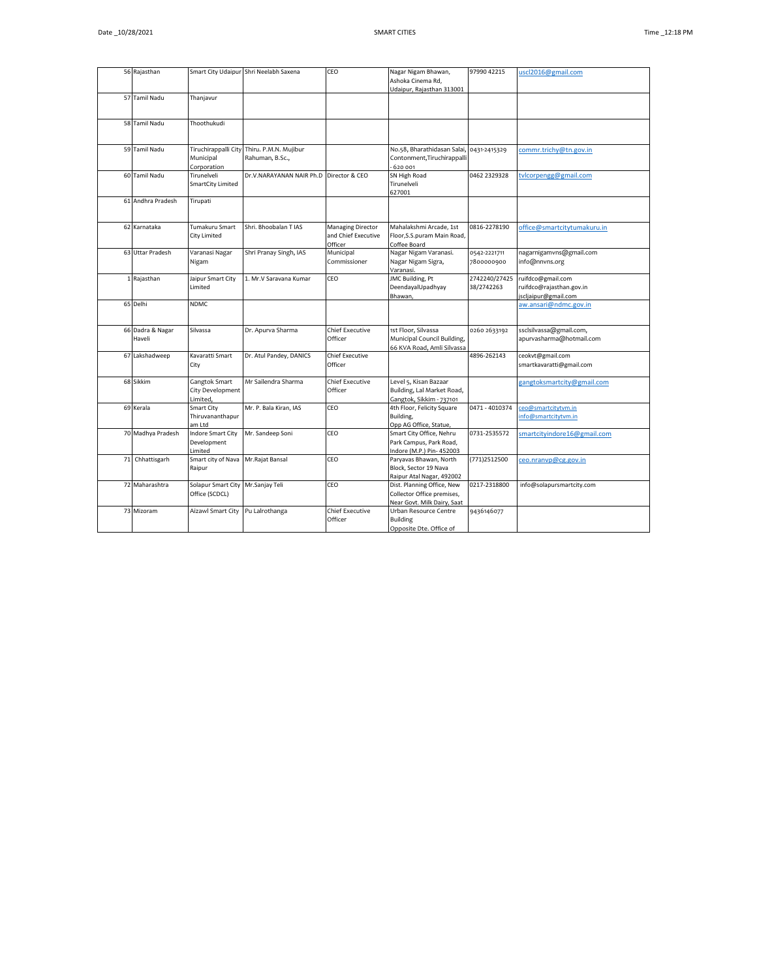|    | 56 Rajasthan               |                                                    | Smart City Udaipur Shri Neelabh Saxena   | CEO                                                 | Nagar Nigam Bhawan,<br>Ashoka Cinema Rd,<br>Udaipur, Rajasthan 313001                   | 97990 42215                 | uscl2016@gmail.com                                                    |
|----|----------------------------|----------------------------------------------------|------------------------------------------|-----------------------------------------------------|-----------------------------------------------------------------------------------------|-----------------------------|-----------------------------------------------------------------------|
|    | 57 Tamil Nadu              | Thanjavur                                          |                                          |                                                     |                                                                                         |                             |                                                                       |
|    | 58 Tamil Nadu              | Thoothukudi                                        |                                          |                                                     |                                                                                         |                             |                                                                       |
|    | 59 Tamil Nadu              | Tiruchirappalli City<br>Municipal<br>Corporation   | Thiru. P.M.N. Mujibur<br>Rahuman, B.Sc., |                                                     | No.58, Bharathidasan Salai,<br>Contonment, Tiruchirappalli<br>620 001                   | 0431-2415329                | commr.trichy@tn.gov.in                                                |
|    | 60 Tamil Nadu              | Tirunelveli<br>SmartCity Limited                   | Dr.V.NARAYANAN NAIR Ph.D Director & CEO  |                                                     | SN High Road<br>Tirunelveli<br>627001                                                   | 0462 2329328                | tvlcorpengg@gmail.com                                                 |
|    | 61 Andhra Pradesh          | Tirupati                                           |                                          |                                                     |                                                                                         |                             |                                                                       |
|    | 62 Karnataka               | Tumakuru Smart<br>City Limited                     | Shri, Bhoobalan T IAS                    | Managing Director<br>and Chief Executive<br>Officer | Mahalakshmi Arcade, 1st<br>Floor, S.S. puram Main Road,<br>Coffee Board                 | 0816-2278190                | office@smartcitytumakuru.in                                           |
| 63 | <b>Uttar Pradesh</b>       | Varanasi Nagar<br>Nigam                            | Shri Pranay Singh, IAS                   | Municipal<br>Commissioner                           | Nagar Nigam Varanasi.<br>Nagar Nigam Sigra,<br>Varanasi.                                | 0542-2221711<br>7800000900  | nagarnigamvns@gmail.com<br>info@nnvns.org                             |
|    | 1 Rajasthan                | Jaipur Smart City<br>Limited                       | 1. Mr.V Saravana Kumar                   | CEO                                                 | JMC Building, Pt<br>DeendayalUpadhyay<br>Bhawan,                                        | 2742240/27425<br>38/2742263 | ruifdco@gmail.com<br>ruifdco@rajasthan.gov.in<br>iscljaipur@gmail.com |
|    | 65 Delhi                   | <b>NDMC</b>                                        |                                          |                                                     |                                                                                         |                             | aw.ansari@ndmc.gov.in                                                 |
|    | 66 Dadra & Nagar<br>Haveli | Silvassa                                           | Dr. Apurva Sharma                        | Chief Executive<br>Officer                          | 1st Floor, Silvassa<br>Municipal Council Building,<br>66 KVA Road, Amli Silvassa        | 0260 2633192                | ssclsilvassa@gmail.com,<br>apurvasharma@hotmail.com                   |
|    | 67 Lakshadweep             | Kavaratti Smart<br>City                            | Dr. Atul Pandey, DANICS                  | Chief Executive<br>Officer                          |                                                                                         | 4896-262143                 | ceokvt@gmail.com<br>smartkavaratti@gmail.com                          |
|    | 68 Sikkim                  | Gangtok Smart<br>City Development<br>imited,       | Mr Sailendra Sharma                      | Chief Executive<br>Officer                          | Level 5, Kisan Bazaar<br>Building, Lal Market Road,<br>Gangtok, Sikkim - 737101         |                             | gangtoksmartcity@gmail.com                                            |
|    | 69 Kerala                  | Smart City<br>Thiruvananthapur<br>am Ltd           | Mr. P. Bala Kiran, IAS                   | CEO                                                 | 4th Floor, Felicity Square<br>Building,<br>Opp AG Office, Statue,                       | 0471 - 4010374              | ceo@smartcitytvm.in<br>info@smartcitytvm.in                           |
|    | 70 Madhya Pradesh          | <b>Indore Smart City</b><br>Development<br>.imited | Mr. Sandeep Soni                         | CEO                                                 | Smart City Office, Nehru<br>Park Campus, Park Road,<br>Indore (M.P.) Pin- 452003        | 0731-2535572                | smartcityindore16@gmail.com                                           |
| 71 | Chhattisgarh               | Smart city of Nava<br>Raipur                       | Mr.Rajat Bansal                          | CEO                                                 | Paryavas Bhawan, North<br>Block, Sector 19 Nava<br>Raipur Atal Nagar, 492002            | (771) 2512500               | ceo.nranvp@cg.gov.in                                                  |
|    | 72 Maharashtra             | Solapur Smart City<br>Office (SCDCL)               | Mr.Sanjay Teli                           | CEO                                                 | Dist. Planning Office, New<br>Collector Office premises,<br>Near Govt. Milk Dairy, Saat | 0217-2318800                | info@solapursmartcity.com                                             |
|    | 73 Mizoram                 | Aizawl Smart City                                  | Pu Lalrothanga                           | Chief Executive<br>Officer                          | Urban Resource Centre<br>Building<br>Opposite Dte. Office of                            | 9436146077                  |                                                                       |